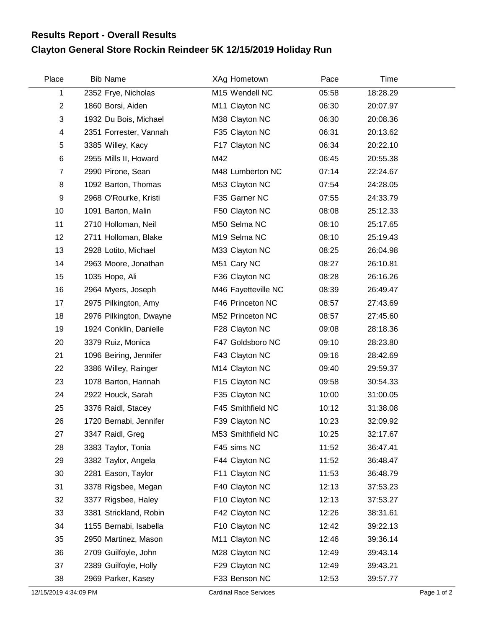## **Clayton General Store Rockin Reindeer 5K 12/15/2019 Holiday Run Results Report - Overall Results**

| Place          | <b>Bib Name</b>         | XAg Hometown        | Pace  | Time     |  |
|----------------|-------------------------|---------------------|-------|----------|--|
| 1              | 2352 Frye, Nicholas     | M15 Wendell NC      | 05:58 | 18:28.29 |  |
| $\overline{2}$ | 1860 Borsi, Aiden       | M11 Clayton NC      | 06:30 | 20:07.97 |  |
| 3              | 1932 Du Bois, Michael   | M38 Clayton NC      | 06:30 | 20:08.36 |  |
| 4              | 2351 Forrester, Vannah  | F35 Clayton NC      | 06:31 | 20:13.62 |  |
| 5              | 3385 Willey, Kacy       | F17 Clayton NC      | 06:34 | 20:22.10 |  |
| 6              | 2955 Mills II, Howard   | M42                 | 06:45 | 20:55.38 |  |
| $\overline{7}$ | 2990 Pirone, Sean       | M48 Lumberton NC    | 07:14 | 22:24.67 |  |
| 8              | 1092 Barton, Thomas     | M53 Clayton NC      | 07:54 | 24:28.05 |  |
| 9              | 2968 O'Rourke, Kristi   | F35 Garner NC       | 07:55 | 24:33.79 |  |
| 10             | 1091 Barton, Malin      | F50 Clayton NC      | 08:08 | 25:12.33 |  |
| 11             | 2710 Holloman, Neil     | M50 Selma NC        | 08:10 | 25:17.65 |  |
| 12             | 2711 Holloman, Blake    | M19 Selma NC        | 08:10 | 25:19.43 |  |
| 13             | 2928 Lotito, Michael    | M33 Clayton NC      | 08:25 | 26:04.98 |  |
| 14             | 2963 Moore, Jonathan    | M51 Cary NC         | 08:27 | 26:10.81 |  |
| 15             | 1035 Hope, Ali          | F36 Clayton NC      | 08:28 | 26:16.26 |  |
| 16             | 2964 Myers, Joseph      | M46 Fayetteville NC | 08:39 | 26:49.47 |  |
| 17             | 2975 Pilkington, Amy    | F46 Princeton NC    | 08:57 | 27:43.69 |  |
| 18             | 2976 Pilkington, Dwayne | M52 Princeton NC    | 08:57 | 27:45.60 |  |
| 19             | 1924 Conklin, Danielle  | F28 Clayton NC      | 09:08 | 28:18.36 |  |
| 20             | 3379 Ruiz, Monica       | F47 Goldsboro NC    | 09:10 | 28:23.80 |  |
| 21             | 1096 Beiring, Jennifer  | F43 Clayton NC      | 09:16 | 28:42.69 |  |
| 22             | 3386 Willey, Rainger    | M14 Clayton NC      | 09:40 | 29:59.37 |  |
| 23             | 1078 Barton, Hannah     | F15 Clayton NC      | 09:58 | 30:54.33 |  |
| 24             | 2922 Houck, Sarah       | F35 Clayton NC      | 10:00 | 31:00.05 |  |
| 25             | 3376 Raidl, Stacey      | F45 Smithfield NC   | 10:12 | 31:38.08 |  |
| 26             | 1720 Bernabi, Jennifer  | F39 Clayton NC      | 10:23 | 32:09.92 |  |
| 27             | 3347 Raidl, Greg        | M53 Smithfield NC   | 10:25 | 32:17.67 |  |
| 28             | 3383 Taylor, Tonia      | F45 sims NC         | 11:52 | 36:47.41 |  |
| 29             | 3382 Taylor, Angela     | F44 Clayton NC      | 11:52 | 36:48.47 |  |
| 30             | 2281 Eason, Taylor      | F11 Clayton NC      | 11:53 | 36:48.79 |  |
| 31             | 3378 Rigsbee, Megan     | F40 Clayton NC      | 12:13 | 37:53.23 |  |
| 32             | 3377 Rigsbee, Haley     | F10 Clayton NC      | 12:13 | 37:53.27 |  |
| 33             | 3381 Strickland, Robin  | F42 Clayton NC      | 12:26 | 38:31.61 |  |
| 34             | 1155 Bernabi, Isabella  | F10 Clayton NC      | 12:42 | 39:22.13 |  |
| 35             | 2950 Martinez, Mason    | M11 Clayton NC      | 12:46 | 39:36.14 |  |
| 36             | 2709 Guilfoyle, John    | M28 Clayton NC      | 12:49 | 39:43.14 |  |
| 37             | 2389 Guilfoyle, Holly   | F29 Clayton NC      | 12:49 | 39:43.21 |  |
| 38             | 2969 Parker, Kasey      | F33 Benson NC       | 12:53 | 39:57.77 |  |